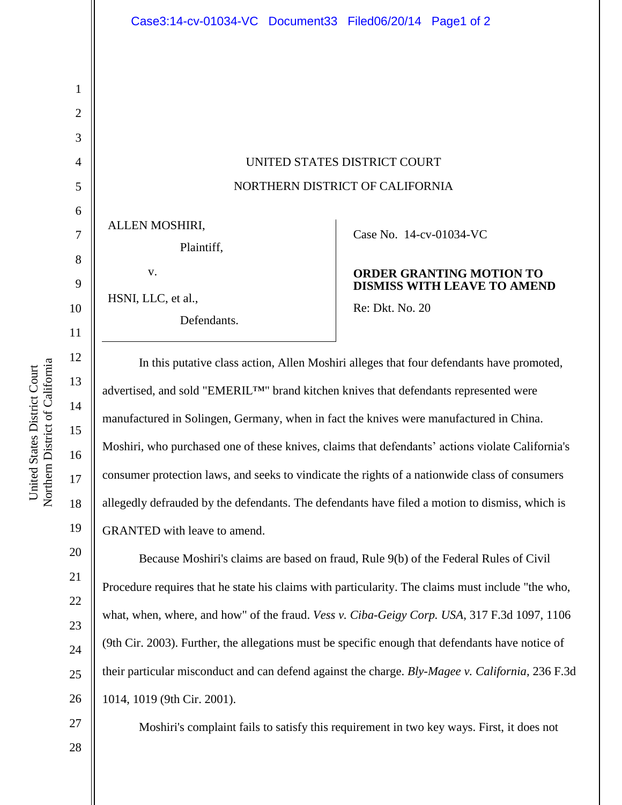# UNITED STATES DISTRICT COURT NORTHERN DISTRICT OF CALIFORNIA

ALLEN MOSHIRI,

| Plaintiff, |  |
|------------|--|
|            |  |

v.

HSNI, LLC, et al.,

Defendants.

### Case No. [14-cv-01034-VC](https://ecf.cand.uscourts.gov/cgi-bin/DktRpt.pl?275119)

#### **ORDER GRANTING MOTION TO DISMISS WITH LEAVE TO AMEND**

Re: Dkt. No. 20

In this putative class action, Allen Moshiri alleges that four defendants have promoted, advertised, and sold "EMERIL™" brand kitchen knives that defendants represented were manufactured in Solingen, Germany, when in fact the knives were manufactured in China. Moshiri, who purchased one of these knives, claims that defendants' actions violate California's consumer protection laws, and seeks to vindicate the rights of a nationwide class of consumers allegedly defrauded by the defendants. The defendants have filed a motion to dismiss, which is GRANTED with leave to amend.

Because Moshiri's claims are based on fraud, Rule 9(b) of the Federal Rules of Civil Procedure requires that he state his claims with particularity. The claims must include "the who, what, when, where, and how" of the fraud. *Vess v. Ciba-Geigy Corp. USA*, 317 F.3d 1097, 1106 (9th Cir. 2003). Further, the allegations must be specific enough that defendants have notice of their particular misconduct and can defend against the charge. *Bly-Magee v. California,* 236 F.3d 1014, 1019 (9th Cir. 2001).

Moshiri's complaint fails to satisfy this requirement in two key ways. First, it does not

Northern District of California Northern District of California United States District Court United States District Court

1

2

3

4

5

6

7

8

9

10

11

12

13

14

15

16

17

18

19

20

21

22

23

24

25

26